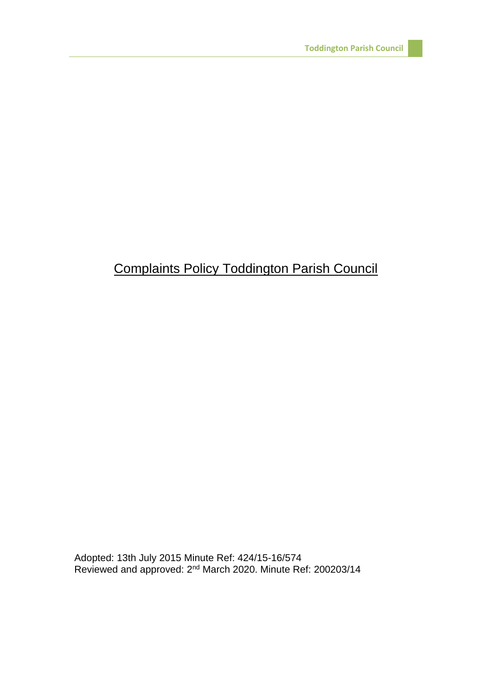## Complaints Policy Toddington Parish Council

Adopted: 13th July 2015 Minute Ref: 424/15-16/574 Reviewed and approved: 2<sup>nd</sup> March 2020. Minute Ref: 200203/14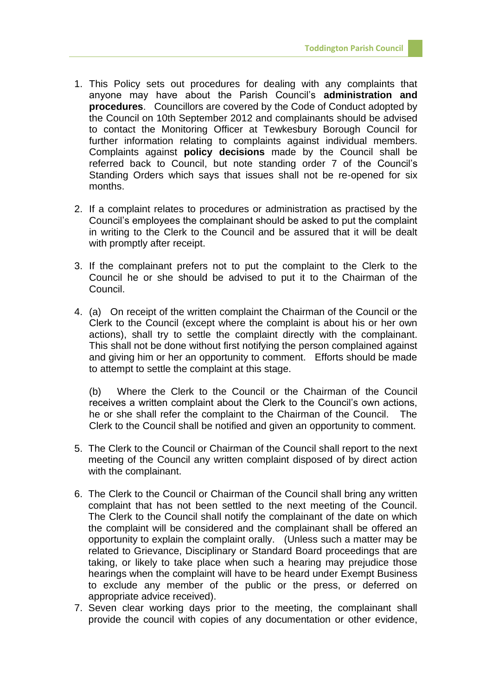- 1. This Policy sets out procedures for dealing with any complaints that anyone may have about the Parish Council's **administration and procedures**. Councillors are covered by the Code of Conduct adopted by the Council on 10th September 2012 and complainants should be advised to contact the Monitoring Officer at Tewkesbury Borough Council for further information relating to complaints against individual members. Complaints against **policy decisions** made by the Council shall be referred back to Council, but note standing order 7 of the Council's Standing Orders which says that issues shall not be re-opened for six months.
- 2. If a complaint relates to procedures or administration as practised by the Council's employees the complainant should be asked to put the complaint in writing to the Clerk to the Council and be assured that it will be dealt with promptly after receipt.
- 3. If the complainant prefers not to put the complaint to the Clerk to the Council he or she should be advised to put it to the Chairman of the Council.
- 4. (a) On receipt of the written complaint the Chairman of the Council or the Clerk to the Council (except where the complaint is about his or her own actions), shall try to settle the complaint directly with the complainant. This shall not be done without first notifying the person complained against and giving him or her an opportunity to comment. Efforts should be made to attempt to settle the complaint at this stage.

(b) Where the Clerk to the Council or the Chairman of the Council receives a written complaint about the Clerk to the Council's own actions, he or she shall refer the complaint to the Chairman of the Council. The Clerk to the Council shall be notified and given an opportunity to comment.

- 5. The Clerk to the Council or Chairman of the Council shall report to the next meeting of the Council any written complaint disposed of by direct action with the complainant.
- 6. The Clerk to the Council or Chairman of the Council shall bring any written complaint that has not been settled to the next meeting of the Council. The Clerk to the Council shall notify the complainant of the date on which the complaint will be considered and the complainant shall be offered an opportunity to explain the complaint orally. (Unless such a matter may be related to Grievance, Disciplinary or Standard Board proceedings that are taking, or likely to take place when such a hearing may prejudice those hearings when the complaint will have to be heard under Exempt Business to exclude any member of the public or the press, or deferred on appropriate advice received).
- 7. Seven clear working days prior to the meeting, the complainant shall provide the council with copies of any documentation or other evidence,